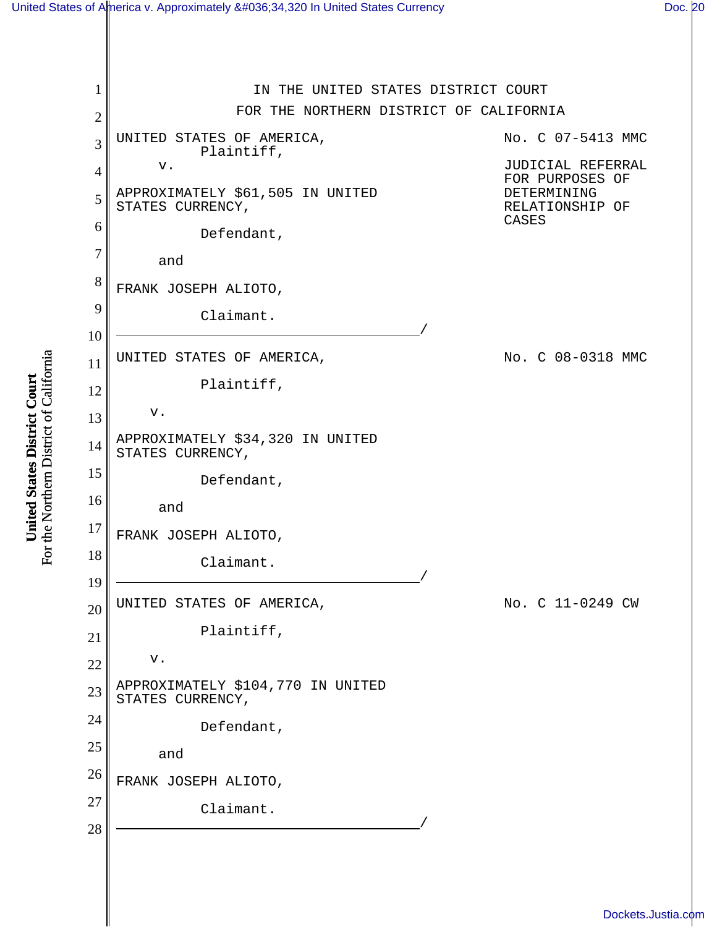## [United States of America v. Approximately \\$34,320 In United States Currency](http://dockets.justia.com/docket/california/candce/3:2008cv00318/199427/) [Doc. 20](http://docs.justia.com/cases/federal/district-courts/california/candce/3:2008cv00318/199427/20/)

1 2 3 4 5 6 7 8 9 10 11 12 13 14 15 16 17 18 19 20 21 22 23 24 25 26 27 28 IN THE UNITED STATES DISTRICT COURT FOR THE NORTHERN DISTRICT OF CALIFORNIA UNITED STATES OF AMERICA, Plaintiff, v. APPROXIMATELY \$61,505 IN UNITED STATES CURRENCY, Defendant, and FRANK JOSEPH ALIOTO, Claimant. UNITED STATES OF AMERICA, Plaintiff, v. APPROXIMATELY \$34,320 IN UNITED STATES CURRENCY, Defendant, and FRANK JOSEPH ALIOTO,  $\begin{picture}(180,10) \put(0,0){\line(1,0){10}} \put(10,0){\line(1,0){10}} \put(10,0){\line(1,0){10}} \put(10,0){\line(1,0){10}} \put(10,0){\line(1,0){10}} \put(10,0){\line(1,0){10}} \put(10,0){\line(1,0){10}} \put(10,0){\line(1,0){10}} \put(10,0){\line(1,0){10}} \put(10,0){\line(1,0){10}} \put(10,0){\line(1,0){10}} \put(10,0){\line($ UNITED STATES OF AMERICA, Plaintiff, v. APPROXIMATELY \$104,770 IN UNITED STATES CURRENCY, Defendant, and FRANK JOSEPH ALIOTO,  $\begin{picture}(180,10) \put(0,0){\line(1,0){10}} \put(10,0){\line(1,0){10}} \put(10,0){\line(1,0){10}} \put(10,0){\line(1,0){10}} \put(10,0){\line(1,0){10}} \put(10,0){\line(1,0){10}} \put(10,0){\line(1,0){10}} \put(10,0){\line(1,0){10}} \put(10,0){\line(1,0){10}} \put(10,0){\line(1,0){10}} \put(10,0){\line(1,0){10}} \put(10,0){\line($ No. C 07-5413 MMC JUDICIAL REFERRAL FOR PURPOSES OF DETERMINING RELATIONSHIP OF CASES No. C 08-0318 MMC No. C 11-0249 CW

For the Northern District of California For the Northern District of California United States District Court **United States District Court**

[Dockets.Justia.com](http://dockets.justia.com/)